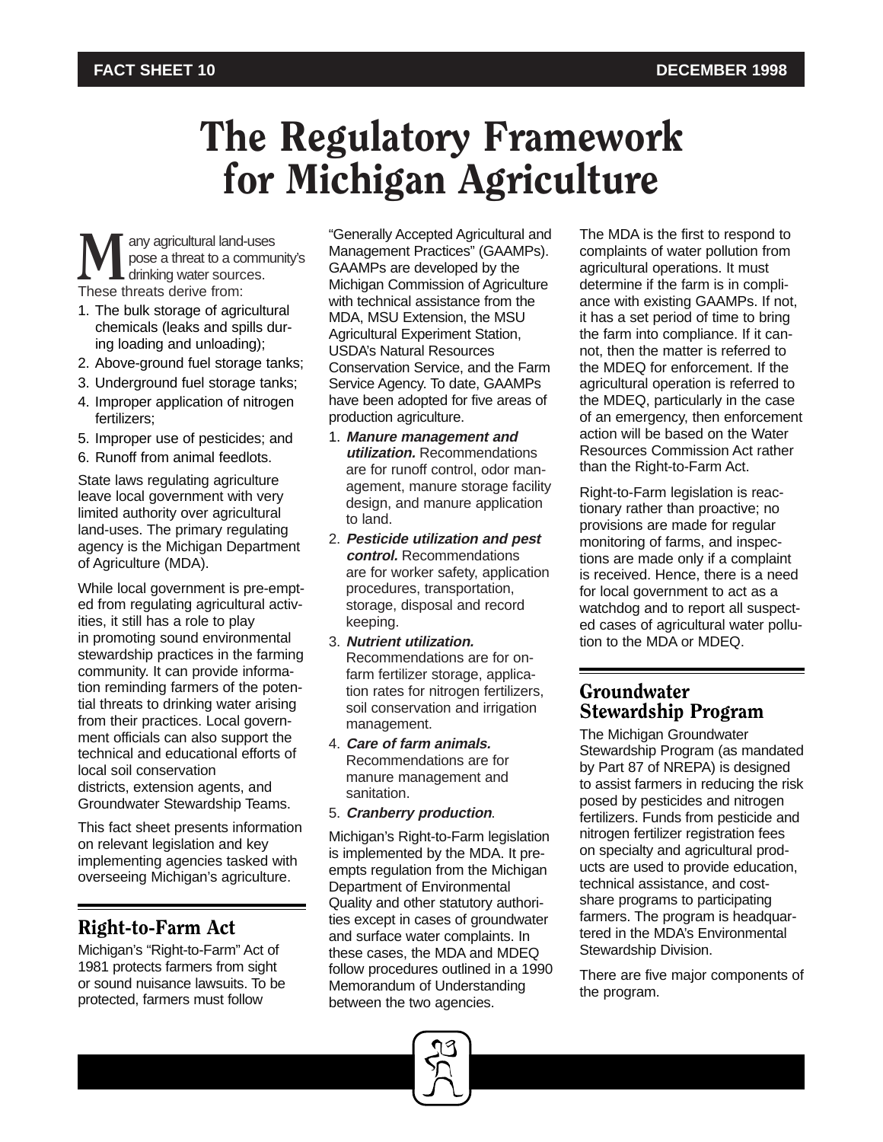# The Regulatory Framework for Michigan Agriculture

**M** any agricultural land-uses<br>pose a threat to a commu<br>These threats derive from: pose a threat to a community's drinking water sources.

- 1. The bulk storage of agricultural chemicals (leaks and spills during loading and unloading);
- 2. Above-ground fuel storage tanks;
- 3. Underground fuel storage tanks;
- 4. Improper application of nitrogen fertilizers;
- 5. Improper use of pesticides; and
- 6. Runoff from animal feedlots.

State laws regulating agriculture leave local government with very limited authority over agricultural land-uses. The primary regulating agency is the Michigan Department of Agriculture (MDA).

While local government is pre-empted from regulating agricultural activities, it still has a role to play in promoting sound environmental stewardship practices in the farming community. It can provide information reminding farmers of the potential threats to drinking water arising from their practices. Local government officials can also support the technical and educational efforts of local soil conservation districts, extension agents, and Groundwater Stewardship Teams.

This fact sheet presents information on relevant legislation and key implementing agencies tasked with overseeing Michigan's agriculture.

# Right-to-Farm Act

Michigan's "Right-to-Farm" Act of 1981 protects farmers from sight or sound nuisance lawsuits. To be protected, farmers must follow

"Generally Accepted Agricultural and Management Practices" (GAAMPs). GAAMPs are developed by the Michigan Commission of Agriculture with technical assistance from the MDA, MSU Extension, the MSU Agricultural Experiment Station, USDA's Natural Resources Conservation Service, and the Farm Service Agency. To date, GAAMPs have been adopted for five areas of production agriculture.

- 1. **Manure management and utilization.** Recommendations are for runoff control, odor management, manure storage facility design, and manure application to land.
- 2. **Pesticide utilization and pest control.** Recommendations are for worker safety, application procedures, transportation, storage, disposal and record keeping.
- 3. **Nutrient utilization.** Recommendations are for onfarm fertilizer storage, application rates for nitrogen fertilizers, soil conservation and irrigation management.
- 4. **Care of farm animals.** Recommendations are for manure management and sanitation.
- 5. **Cranberry production**.

Michigan's Right-to-Farm legislation is implemented by the MDA. It preempts regulation from the Michigan Department of Environmental Quality and other statutory authorities except in cases of groundwater and surface water complaints. In these cases, the MDA and MDEQ follow procedures outlined in a 1990 Memorandum of Understanding between the two agencies.



The MDA is the first to respond to complaints of water pollution from agricultural operations. It must determine if the farm is in compliance with existing GAAMPs. If not, it has a set period of time to bring the farm into compliance. If it cannot, then the matter is referred to the MDEQ for enforcement. If the agricultural operation is referred to the MDEQ, particularly in the case of an emergency, then enforcement action will be based on the Water Resources Commission Act rather than the Right-to-Farm Act.

Right-to-Farm legislation is reactionary rather than proactive; no provisions are made for regular monitoring of farms, and inspections are made only if a complaint is received. Hence, there is a need for local government to act as a watchdog and to report all suspected cases of agricultural water pollution to the MDA or MDEQ.

# Groundwater Stewardship Program

The Michigan Groundwater Stewardship Program (as mandated by Part 87 of NREPA) is designed to assist farmers in reducing the risk posed by pesticides and nitrogen fertilizers. Funds from pesticide and nitrogen fertilizer registration fees on specialty and agricultural products are used to provide education, technical assistance, and costshare programs to participating farmers. The program is headquartered in the MDA's Environmental Stewardship Division.

There are five major components of the program.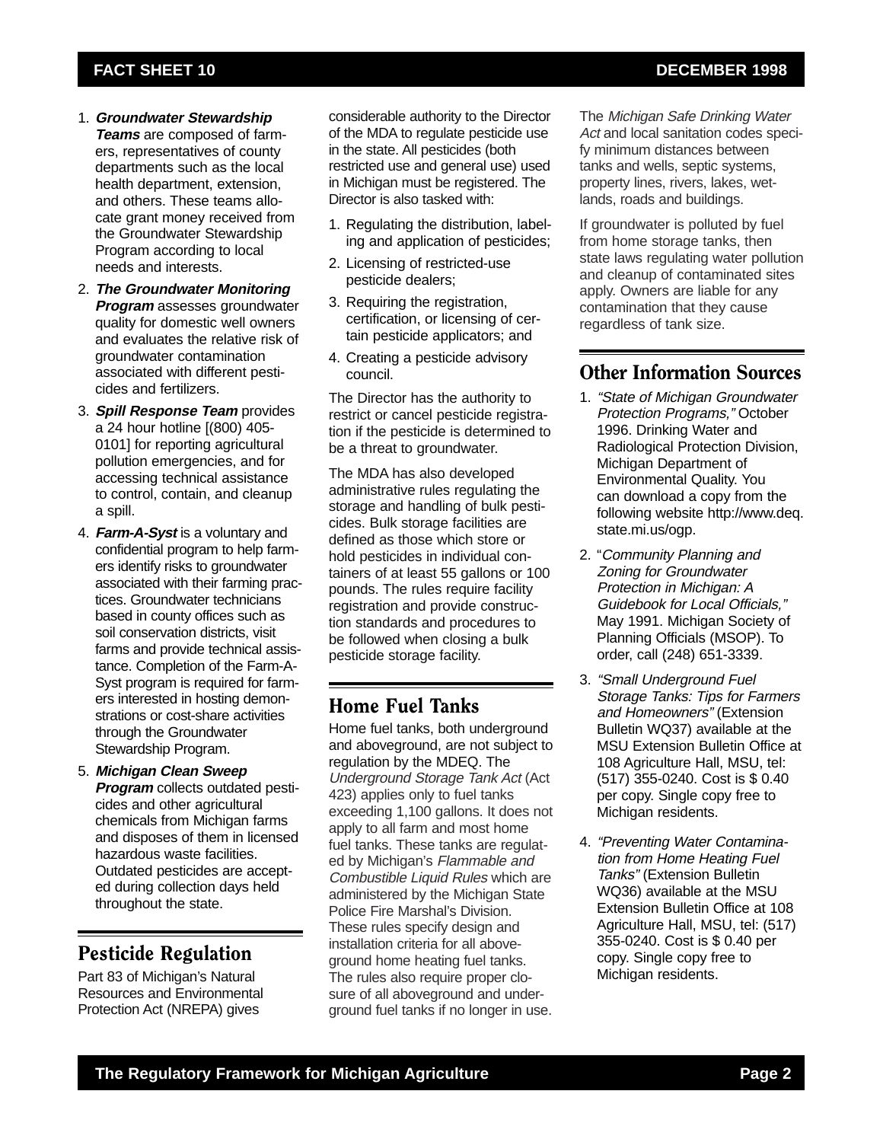- 1. **Groundwater Stewardship Teams** are composed of farmers, representatives of county departments such as the local health department, extension, and others. These teams allocate grant money received from the Groundwater Stewardship Program according to local needs and interests.
- 2. **The Groundwater Monitoring Program** assesses groundwater quality for domestic well owners and evaluates the relative risk of groundwater contamination associated with different pesticides and fertilizers.
- 3. **Spill Response Team** provides a 24 hour hotline [(800) 405- 0101] for reporting agricultural pollution emergencies, and for accessing technical assistance to control, contain, and cleanup a spill.
- 4. **Farm-A-Syst** is a voluntary and confidential program to help farmers identify risks to groundwater associated with their farming practices. Groundwater technicians based in county offices such as soil conservation districts, visit farms and provide technical assistance. Completion of the Farm-A-Syst program is required for farmers interested in hosting demonstrations or cost-share activities through the Groundwater Stewardship Program.
- 5. **Michigan Clean Sweep Program** collects outdated pesticides and other agricultural chemicals from Michigan farms and disposes of them in licensed hazardous waste facilities. Outdated pesticides are accepted during collection days held throughout the state.

# Pesticide Regulation

Part 83 of Michigan's Natural Resources and Environmental Protection Act (NREPA) gives

considerable authority to the Director of the MDA to regulate pesticide use in the state. All pesticides (both restricted use and general use) used in Michigan must be registered. The Director is also tasked with:

- 1. Regulating the distribution, labeling and application of pesticides;
- 2. Licensing of restricted-use pesticide dealers;
- 3. Requiring the registration, certification, or licensing of certain pesticide applicators; and
- 4. Creating a pesticide advisory council.

The Director has the authority to restrict or cancel pesticide registration if the pesticide is determined to be a threat to groundwater.

The MDA has also developed administrative rules regulating the storage and handling of bulk pesticides. Bulk storage facilities are defined as those which store or hold pesticides in individual containers of at least 55 gallons or 100 pounds. The rules require facility registration and provide construction standards and procedures to be followed when closing a bulk pesticide storage facility.

# Home Fuel Tanks

Home fuel tanks, both underground and aboveground, are not subject to regulation by the MDEQ. The Underground Storage Tank Act (Act 423) applies only to fuel tanks exceeding 1,100 gallons. It does not apply to all farm and most home fuel tanks. These tanks are regulated by Michigan's Flammable and Combustible Liquid Rules which are administered by the Michigan State Police Fire Marshal's Division. These rules specify design and installation criteria for all aboveground home heating fuel tanks. The rules also require proper closure of all aboveground and underground fuel tanks if no longer in use.

The Michigan Safe Drinking Water Act and local sanitation codes specify minimum distances between tanks and wells, septic systems, property lines, rivers, lakes, wetlands, roads and buildings.

If groundwater is polluted by fuel from home storage tanks, then state laws regulating water pollution and cleanup of contaminated sites apply. Owners are liable for any contamination that they cause regardless of tank size.

# Other Information Sources

- 1. "State of Michigan Groundwater Protection Programs," October 1996. Drinking Water and Radiological Protection Division, Michigan Department of Environmental Quality. You can download a copy from the following website http://www.deq. state.mi.us/ogp.
- 2. "Community Planning and Zoning for Groundwater Protection in Michigan: A Guidebook for Local Officials," May 1991. Michigan Society of Planning Officials (MSOP). To order, call (248) 651-3339.
- 3. "Small Underground Fuel Storage Tanks: Tips for Farmers and Homeowners" (Extension Bulletin WQ37) available at the MSU Extension Bulletin Office at 108 Agriculture Hall, MSU, tel: (517) 355-0240. Cost is \$ 0.40 per copy. Single copy free to Michigan residents.
- 4. "Preventing Water Contamination from Home Heating Fuel Tanks" (Extension Bulletin WQ36) available at the MSU Extension Bulletin Office at 108 Agriculture Hall, MSU, tel: (517) 355-0240. Cost is \$ 0.40 per copy. Single copy free to Michigan residents.